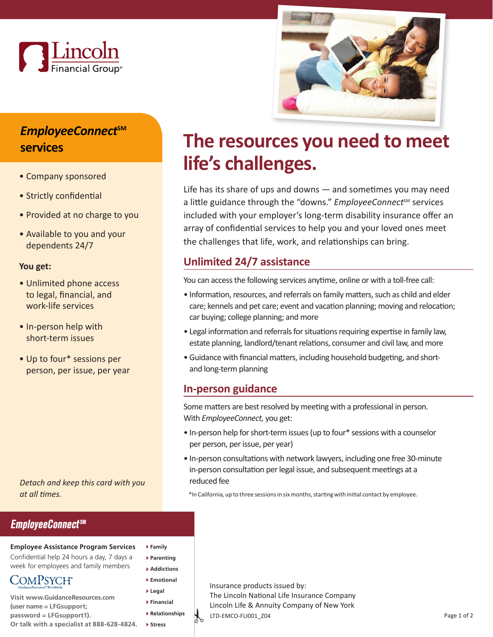



# *EmployeeConnect***SM services**

- Company sponsored
- Strictly confidential
- Provided at no charge to you
- Available to you and your dependents 24/7

#### **You get:**

- Unlimited phone access to legal, financial, and work-life services
- In-person help with short-term issues
- Up to four\* sessions per person, per issue, per year

*Detach and keep this card with you at all times.*

### **EmployeeConnectSM**

#### **Employee Assistance Program Services**

**Family Parenting Addictions Emotional Legal Financial Relationships Stress** 

Confdential help 24 hours a day, 7 days a week for employees and family members

- COMPSYCH<sup>®</sup>
- **Visit <www.GuidanceResources.com> (user name = LFGsupport; password = LFGsupport1). Or talk with a specialist at 888-628-4824.**

**The resources you need to meet life's challenges.** 

Life has its share of ups and downs — and sometimes you may need a little guidance through the "downs." *EmployeeConnect<sup>sM</sup>* services included with your employer's long-term disability insurance offer an array of confidential services to help you and your loved ones meet the challenges that life, work, and relationships can bring.

## **Unlimited 24/7 assistance**

You can access the following services anytime, online or with a toll-free call:

- • Information, resources, and referrals on family matters, such as child and elder care; kennels and pet care; event and vacation planning; moving and relocation; car buying; college planning; and more
- • Legal information and referrals for situations requiring expertise in family law, estate planning, landlord/tenant relations, consumer and civil law, and more
- • Guidance with financial matters, including household budgeting, and shortand long-term planning

#### **In-person guidance**

Some matters are best resolved by meeting with a professional in person. With *EmployeeConnect,* you get:

- • In-person help for short-term issues (up to four\* sessions with a counselor per person, per issue, per year)
- In-person consultations with network lawyers, including one free 30-minute in-person consultation per legal issue, and subsequent meetings at a reduced fee

\*In California, up to three sessions in six months, starting with initial contact by employee.

 $\int_{0}$ Insurance products issued by: The Lincoln National Life Insurance Company Lincoln Life & Annuity Company of New York LTD-EMCO-FLI001\_Z04 Page 1 of 2